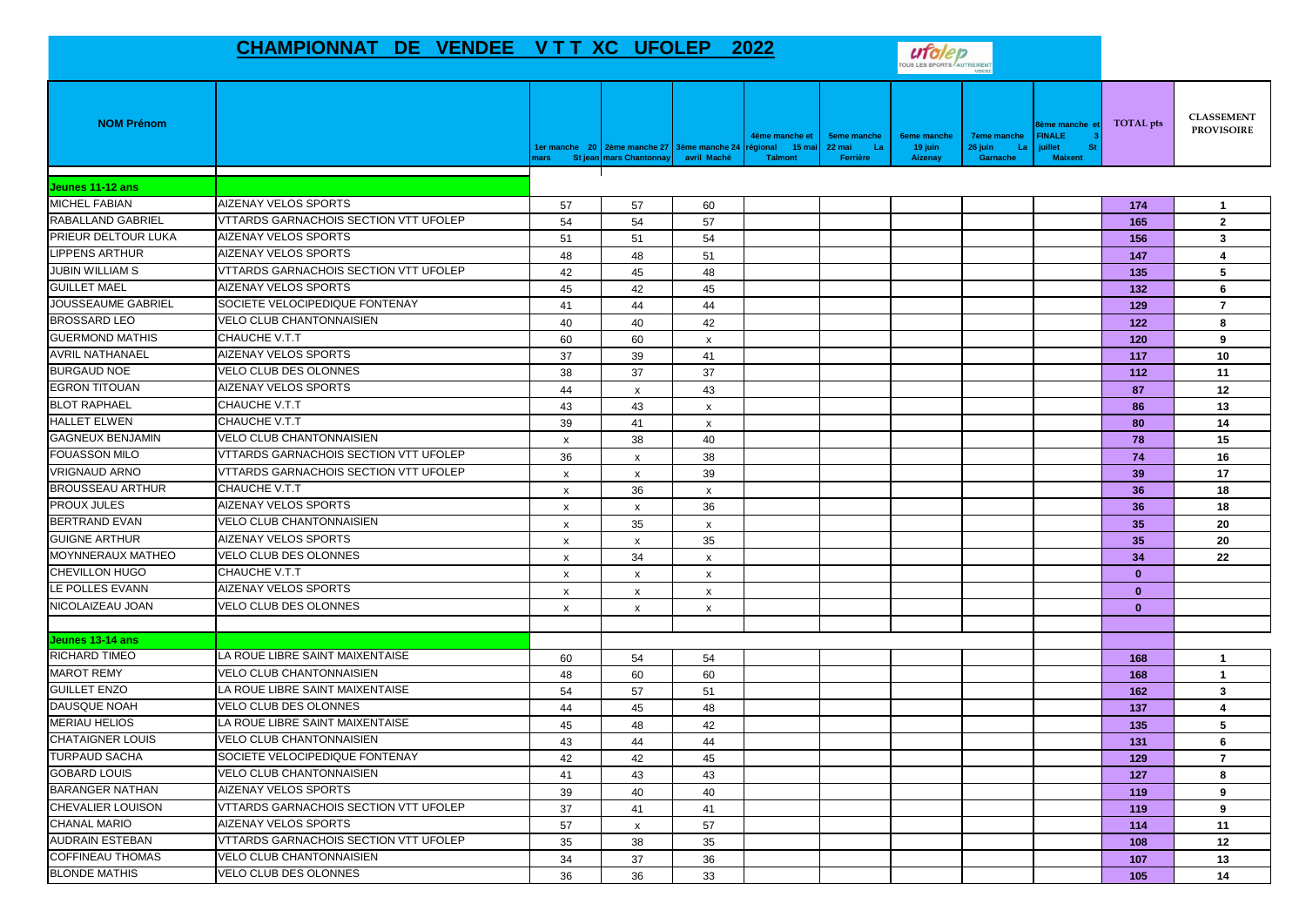## **CHAMPIONNAT DE VENDEE V T T XC UFOLEP 2022**



| <b>NOM Prénom</b>        |                                              | nars                      | 1er manche 20 2ème manche 27 3ème manche 24 régional<br>St jean mars Chantonnay | avril Maché               | 4ème manche et<br>่ 15 ma<br>Talmont | <b>5eme manche</b><br>22 mai<br>-La<br>Ferrière | <b>6eme manche</b><br>19 juin<br><b>Aizenay</b> | <b>7eme manche</b><br>26 juin<br>La<br>Garnache | ème manche e<br><b>FINALE</b><br>juillet<br>-St<br><b>Maixent</b> | TOTAL pts    | <b>CLASSEMENT</b><br><b>PROVISOIRE</b> |
|--------------------------|----------------------------------------------|---------------------------|---------------------------------------------------------------------------------|---------------------------|--------------------------------------|-------------------------------------------------|-------------------------------------------------|-------------------------------------------------|-------------------------------------------------------------------|--------------|----------------------------------------|
| Jeunes 11-12 ans         |                                              |                           |                                                                                 |                           |                                      |                                                 |                                                 |                                                 |                                                                   |              |                                        |
| MICHEL FABIAN            | <b>AIZENAY VELOS SPORTS</b>                  | 57                        | 57                                                                              | 60                        |                                      |                                                 |                                                 |                                                 |                                                                   | 174          | $\mathbf{1}$                           |
| <b>RABALLAND GABRIEL</b> | <b>VTTARDS GARNACHOIS SECTION VTT UFOLEP</b> | 54                        | 54                                                                              | 57                        |                                      |                                                 |                                                 |                                                 |                                                                   | 165          | $\overline{2}$                         |
| PRIEUR DELTOUR LUKA      | <b>AIZENAY VELOS SPORTS</b>                  | 51                        | 51                                                                              | 54                        |                                      |                                                 |                                                 |                                                 |                                                                   | 156          | 3                                      |
| <b>LIPPENS ARTHUR</b>    | AIZENAY VELOS SPORTS                         | 48                        | 48                                                                              | 51                        |                                      |                                                 |                                                 |                                                 |                                                                   | 147          | 4                                      |
| <b>JUBIN WILLIAM S</b>   | VTTARDS GARNACHOIS SECTION VTT UFOLEP        | 42                        | 45                                                                              | 48                        |                                      |                                                 |                                                 |                                                 |                                                                   | 135          | 5                                      |
| <b>GUILLET MAEL</b>      | AIZENAY VELOS SPORTS                         | 45                        | 42                                                                              | 45                        |                                      |                                                 |                                                 |                                                 |                                                                   | 132          | 6                                      |
| JOUSSEAUME GABRIEL       | SOCIETE VELOCIPEDIQUE FONTENAY               | 41                        | 44                                                                              | 44                        |                                      |                                                 |                                                 |                                                 |                                                                   | 129          | $\overline{7}$                         |
| <b>BROSSARD LEO</b>      | <b>VELO CLUB CHANTONNAISIEN</b>              | 40                        | 40                                                                              | 42                        |                                      |                                                 |                                                 |                                                 |                                                                   | 122          | 8                                      |
| <b>GUERMOND MATHIS</b>   | CHAUCHE V.T.T                                | 60                        | 60                                                                              | $\mathsf{x}$              |                                      |                                                 |                                                 |                                                 |                                                                   | 120          | 9                                      |
| <b>AVRIL NATHANAEL</b>   | <b>AIZENAY VELOS SPORTS</b>                  | 37                        | 39                                                                              | 41                        |                                      |                                                 |                                                 |                                                 |                                                                   | 117          | 10                                     |
| <b>BURGAUD NOE</b>       | VELO CLUB DES OLONNES                        | 38                        | 37                                                                              | 37                        |                                      |                                                 |                                                 |                                                 |                                                                   | 112          | 11                                     |
| <b>EGRON TITOUAN</b>     | AIZENAY VELOS SPORTS                         | 44                        | $\pmb{\chi}$                                                                    | 43                        |                                      |                                                 |                                                 |                                                 |                                                                   | 87           | 12                                     |
| <b>BLOT RAPHAEL</b>      | <b>CHAUCHE V.T.T</b>                         | 43                        | 43                                                                              | $\mathsf{x}$              |                                      |                                                 |                                                 |                                                 |                                                                   | 86           | 13                                     |
| <b>HALLET ELWEN</b>      | CHAUCHE V.T.T                                | 39                        | 41                                                                              | $\boldsymbol{\mathsf{x}}$ |                                      |                                                 |                                                 |                                                 |                                                                   | 80           | 14                                     |
| <b>GAGNEUX BENJAMIN</b>  | VELO CLUB CHANTONNAISIEN                     | $\boldsymbol{\mathsf{x}}$ | 38                                                                              | 40                        |                                      |                                                 |                                                 |                                                 |                                                                   | 78           | 15                                     |
| <b>FOUASSON MILO</b>     | <b>VTTARDS GARNACHOIS SECTION VTT UFOLEP</b> | 36                        | x                                                                               | 38                        |                                      |                                                 |                                                 |                                                 |                                                                   | 74           | 16                                     |
| <b>VRIGNAUD ARNO</b>     | <b>VTTARDS GARNACHOIS SECTION VTT UFOLEP</b> | $\boldsymbol{\mathsf{x}}$ | $\mathsf{x}$                                                                    | 39                        |                                      |                                                 |                                                 |                                                 |                                                                   | 39           | 17                                     |
| <b>BROUSSEAU ARTHUR</b>  | CHAUCHE V.T.T                                | $\mathsf{x}$              | 36                                                                              | $\mathsf{x}$              |                                      |                                                 |                                                 |                                                 |                                                                   | 36           | 18                                     |
| <b>PROUX JULES</b>       | AIZENAY VELOS SPORTS                         | $\boldsymbol{\mathsf{x}}$ | X                                                                               | 36                        |                                      |                                                 |                                                 |                                                 |                                                                   | 36           | 18                                     |
| <b>BERTRAND EVAN</b>     | <b>VELO CLUB CHANTONNAISIEN</b>              | $\boldsymbol{\mathsf{x}}$ | 35                                                                              | $\mathsf{x}$              |                                      |                                                 |                                                 |                                                 |                                                                   | 35           | 20                                     |
| <b>GUIGNE ARTHUR</b>     | AIZENAY VELOS SPORTS                         | $\boldsymbol{\mathsf{x}}$ | $\pmb{\chi}$                                                                    | 35                        |                                      |                                                 |                                                 |                                                 |                                                                   | 35           | 20                                     |
| MOYNNERAUX MATHEO        | VELO CLUB DES OLONNES                        | $\mathsf{x}$              | 34                                                                              | $\boldsymbol{\mathsf{x}}$ |                                      |                                                 |                                                 |                                                 |                                                                   | 34           | 22                                     |
| <b>CHEVILLON HUGO</b>    | CHAUCHE V.T.T                                | X                         | X                                                                               | $\boldsymbol{\mathsf{x}}$ |                                      |                                                 |                                                 |                                                 |                                                                   | $\mathbf{0}$ |                                        |
| LE POLLES EVANN          | AIZENAY VELOS SPORTS                         | $\boldsymbol{\mathsf{x}}$ | $\boldsymbol{\mathsf{x}}$                                                       | $\boldsymbol{\mathsf{x}}$ |                                      |                                                 |                                                 |                                                 |                                                                   | $\mathbf{0}$ |                                        |
| NICOLAIZEAU JOAN         | <b>VELO CLUB DES OLONNES</b>                 | $\boldsymbol{\mathsf{x}}$ | $\boldsymbol{\mathsf{x}}$                                                       | $\boldsymbol{\mathsf{x}}$ |                                      |                                                 |                                                 |                                                 |                                                                   | $\mathbf{0}$ |                                        |
| Jeunes 13-14 ans         |                                              |                           |                                                                                 |                           |                                      |                                                 |                                                 |                                                 |                                                                   |              |                                        |
| RICHARD TIMEO            | LA ROUE LIBRE SAINT MAIXENTAISE              | 60                        | 54                                                                              | 54                        |                                      |                                                 |                                                 |                                                 |                                                                   | 168          | $\mathbf{1}$                           |
| <b>MAROT REMY</b>        | <b>VELO CLUB CHANTONNAISIEN</b>              | 48                        | 60                                                                              | 60                        |                                      |                                                 |                                                 |                                                 |                                                                   | 168          | $\mathbf{1}$                           |
| <b>GUILLET ENZO</b>      | LA ROUE LIBRE SAINT MAIXENTAISE              | 54                        | 57                                                                              | 51                        |                                      |                                                 |                                                 |                                                 |                                                                   | 162          | 3                                      |
| <b>DAUSQUE NOAH</b>      | VELO CLUB DES OLONNES                        | 44                        | 45                                                                              | 48                        |                                      |                                                 |                                                 |                                                 |                                                                   | 137          | 4                                      |
| <b>MERIAU HELIOS</b>     | LA ROUE LIBRE SAINT MAIXENTAISE              | 45                        | 48                                                                              | 42                        |                                      |                                                 |                                                 |                                                 |                                                                   | 135          | 5                                      |
| <b>CHATAIGNER LOUIS</b>  | VELO CLUB CHANTONNAISIEN                     | 43                        | 44                                                                              | 44                        |                                      |                                                 |                                                 |                                                 |                                                                   | 131          | 6                                      |
| <b>TURPAUD SACHA</b>     | SOCIETE VELOCIPEDIQUE FONTENAY               | 42                        | 42                                                                              | 45                        |                                      |                                                 |                                                 |                                                 |                                                                   | 129          | $\overline{7}$                         |
| <b>GOBARD LOUIS</b>      | <b>VELO CLUB CHANTONNAISIEN</b>              | 41                        | 43                                                                              | 43                        |                                      |                                                 |                                                 |                                                 |                                                                   | 127          | 8                                      |
| <b>BARANGER NATHAN</b>   | AIZENAY VELOS SPORTS                         | 39                        | 40                                                                              | 40                        |                                      |                                                 |                                                 |                                                 |                                                                   | 119          | 9                                      |
| <b>CHEVALIER LOUISON</b> | VTTARDS GARNACHOIS SECTION VTT UFOLEP        | 37                        | 41                                                                              | 41                        |                                      |                                                 |                                                 |                                                 |                                                                   | 119          | 9                                      |
| <b>CHANAL MARIO</b>      | AIZENAY VELOS SPORTS                         | 57                        | X                                                                               | 57                        |                                      |                                                 |                                                 |                                                 |                                                                   | 114          | 11                                     |
| <b>AUDRAIN ESTEBAN</b>   | VTTARDS GARNACHOIS SECTION VTT UFOLEP        | 35                        | 38                                                                              | 35                        |                                      |                                                 |                                                 |                                                 |                                                                   | 108          | 12                                     |
| <b>COFFINEAU THOMAS</b>  | VELO CLUB CHANTONNAISIEN                     | 34                        | 37                                                                              | 36                        |                                      |                                                 |                                                 |                                                 |                                                                   | 107          | 13                                     |
| <b>BLONDE MATHIS</b>     | <b>VELO CLUB DES OLONNES</b>                 | 36                        | 36                                                                              | 33                        |                                      |                                                 |                                                 |                                                 |                                                                   | 105          | 14                                     |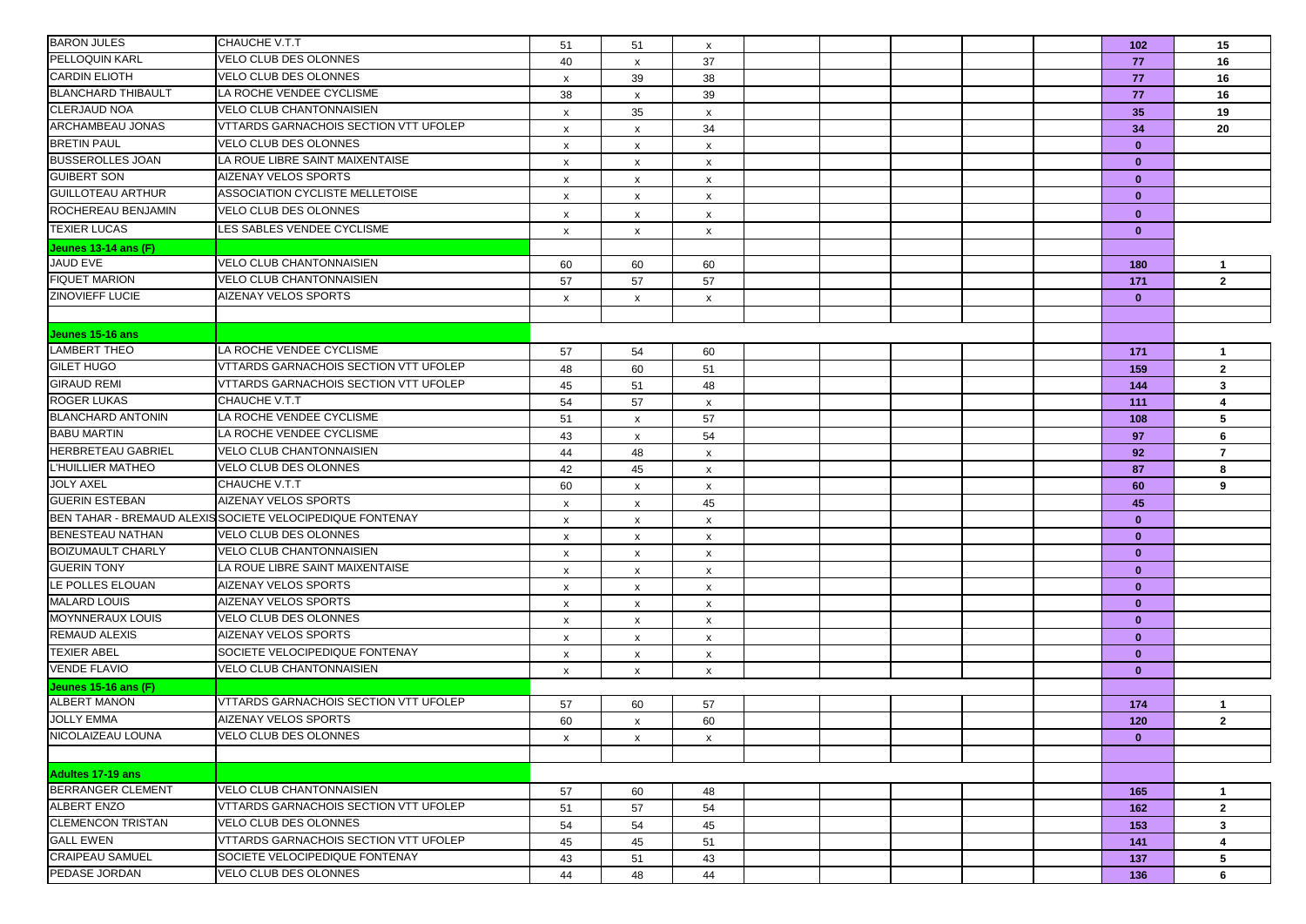| <b>BARON JULES</b>                       | CHAUCHE V.T.T                                             | 51                        | 51 | $\boldsymbol{\mathsf{x}}$ |  |  | 102          | 15             |
|------------------------------------------|-----------------------------------------------------------|---------------------------|----|---------------------------|--|--|--------------|----------------|
| PELLOQUIN KARL                           | <b>VELO CLUB DES OLONNES</b>                              | 40                        | x  | 37                        |  |  | 77           | 16             |
| <b>CARDIN ELIOTH</b>                     | <b>VELO CLUB DES OLONNES</b>                              | $\pmb{\mathsf{X}}$        | 39 | 38                        |  |  | 77           | 16             |
| <b>BLANCHARD THIBAULT</b>                | LA ROCHE VENDEE CYCLISME                                  | 38                        | x  | 39                        |  |  | 77           | 16             |
| <b>CLERJAUD NOA</b>                      | <b>VELO CLUB CHANTONNAISIEN</b>                           | X                         | 35 | $\boldsymbol{\mathsf{x}}$ |  |  | 35           | 19             |
| ARCHAMBEAU JONAS                         | <b>VTTARDS GARNACHOIS SECTION VTT UFOLEP</b>              | $\boldsymbol{\mathsf{x}}$ | x  | 34                        |  |  | 34           | 20             |
| <b>BRETIN PAUL</b>                       | VELO CLUB DES OLONNES                                     | x                         | x  | $\boldsymbol{\mathsf{x}}$ |  |  | $\mathbf{0}$ |                |
| <b>BUSSEROLLES JOAN</b>                  | LA ROUE LIBRE SAINT MAIXENTAISE                           | x                         | x  | X                         |  |  | $\mathbf{0}$ |                |
| <b>GUIBERT SON</b>                       | <b>AIZENAY VELOS SPORTS</b>                               | $\boldsymbol{\mathsf{x}}$ | x  | $\boldsymbol{\mathsf{x}}$ |  |  | $\mathbf{0}$ |                |
| <b>GUILLOTEAU ARTHUR</b>                 | ASSOCIATION CYCLISTE MELLETOISE                           | $\pmb{\mathsf{X}}$        | X  | $\boldsymbol{\mathsf{x}}$ |  |  | $\mathbf{0}$ |                |
| ROCHEREAU BENJAMIN                       | VELO CLUB DES OLONNES                                     | x                         | x  | $\boldsymbol{\mathsf{x}}$ |  |  | $\bf{0}$     |                |
| <b>TEXIER LUCAS</b>                      | LES SABLES VENDEE CYCLISME                                | $\boldsymbol{\mathsf{x}}$ | x  | $\boldsymbol{\mathsf{x}}$ |  |  | $\mathbf{0}$ |                |
| Jeunes 13-14 ans (F)                     |                                                           |                           |    |                           |  |  |              |                |
| <b>JAUD EVE</b>                          | <b>VELO CLUB CHANTONNAISIEN</b>                           | 60                        | 60 | 60                        |  |  | 180          | $\mathbf{1}$   |
| <b>FIQUET MARION</b>                     | <b>VELO CLUB CHANTONNAISIEN</b>                           | 57                        | 57 | 57                        |  |  | 171          | $\overline{2}$ |
| <b>ZINOVIEFF LUCIE</b>                   | AIZENAY VELOS SPORTS                                      | x                         | X  | $\pmb{\mathsf{x}}$        |  |  | $\mathbf{0}$ |                |
|                                          |                                                           |                           |    |                           |  |  |              |                |
|                                          |                                                           |                           |    |                           |  |  |              |                |
| Jeunes 15-16 ans<br><b>LAMBERT THEO</b>  | LA ROCHE VENDEE CYCLISME                                  |                           |    |                           |  |  |              |                |
| <b>GILET HUGO</b>                        | <b>VTTARDS GARNACHOIS SECTION VTT UFOLEP</b>              | 57                        | 54 | 60                        |  |  | 171          | $\mathbf{1}$   |
| <b>GIRAUD REMI</b>                       | <b>VTTARDS GARNACHOIS SECTION VTT UFOLEP</b>              | 48                        | 60 | 51                        |  |  | 159          | $\mathbf{2}$   |
| <b>ROGER LUKAS</b>                       | CHAUCHE V.T.T                                             | 45                        | 51 | 48                        |  |  | 144          | 3              |
| <b>BLANCHARD ANTONIN</b>                 | LA ROCHE VENDEE CYCLISME                                  | 54                        | 57 | $\boldsymbol{\mathsf{x}}$ |  |  | 111          | 4              |
| <b>BABU MARTIN</b>                       | LA ROCHE VENDEE CYCLISME                                  | 51                        | x  | 57                        |  |  | 108          | 5              |
| <b>HERBRETEAU GABRIEL</b>                | <b>VELO CLUB CHANTONNAISIEN</b>                           | 43                        | x  | 54                        |  |  | 97           | 6              |
| L'HUILLIER MATHEO                        | <b>VELO CLUB DES OLONNES</b>                              | 44                        | 48 | $\boldsymbol{\mathsf{x}}$ |  |  | 92           | $\overline{7}$ |
| <b>JOLY AXEL</b>                         | <b>CHAUCHE V.T.T</b>                                      | 42                        | 45 | X                         |  |  | 87           | 8              |
| <b>GUERIN ESTEBAN</b>                    | AIZENAY VELOS SPORTS                                      | 60                        | x  | $\boldsymbol{\mathsf{x}}$ |  |  | 60           | 9              |
|                                          | BEN TAHAR - BREMAUD ALEXIS SOCIETE VELOCIPEDIQUE FONTENAY | $\pmb{\times}$            | x  | 45                        |  |  | 45           |                |
| <b>BENESTEAU NATHAN</b>                  | VELO CLUB DES OLONNES                                     | $\pmb{\times}$            | x  | $\boldsymbol{\mathsf{x}}$ |  |  | $\mathbf{0}$ |                |
| <b>BOIZUMAULT CHARLY</b>                 | <b>VELO CLUB CHANTONNAISIEN</b>                           | x                         | x  | $\boldsymbol{\mathsf{x}}$ |  |  | $\mathbf{0}$ |                |
| <b>GUERIN TONY</b>                       | LA ROUE LIBRE SAINT MAIXENTAISE                           | X                         | x  | $\boldsymbol{\mathsf{x}}$ |  |  | $\mathbf{0}$ |                |
| LE POLLES ELOUAN                         | AIZENAY VELOS SPORTS                                      | $\boldsymbol{\mathsf{x}}$ | x  | $\boldsymbol{\mathsf{x}}$ |  |  | $\mathbf{0}$ |                |
| <b>MALARD LOUIS</b>                      | AIZENAY VELOS SPORTS                                      | $\pmb{\times}$            | x  | $\boldsymbol{\mathsf{x}}$ |  |  | $\mathbf{0}$ |                |
| MOYNNERAUX LOUIS                         | <b>VELO CLUB DES OLONNES</b>                              | $\boldsymbol{\mathsf{x}}$ | x  | $\boldsymbol{\mathsf{x}}$ |  |  | $\mathbf{0}$ |                |
|                                          | <b>AIZENAY VELOS SPORTS</b>                               | x                         | x  | $\boldsymbol{\mathsf{x}}$ |  |  | $\mathbf{0}$ |                |
| <b>REMAUD ALEXIS</b>                     |                                                           | x                         | х  | X                         |  |  | $\mathbf{0}$ |                |
| <b>TEXIER ABEL</b>                       | SOCIETE VELOCIPEDIQUE FONTENAY                            | $\boldsymbol{\mathsf{x}}$ | x  | $\boldsymbol{\mathsf{x}}$ |  |  | $\mathbf{0}$ |                |
| <b>VENDE FLAVIO</b>                      | VELO CLUB CHANTONNAISIEN                                  | $\boldsymbol{\mathsf{x}}$ | x  | $\boldsymbol{\mathsf{x}}$ |  |  | $\mathbf{0}$ |                |
| <b>Jeunes 15-16 ans (F)</b>              | <b>VTTARDS GARNACHOIS SECTION VTT UFOLEP</b>              |                           |    |                           |  |  |              |                |
| <b>ALBERT MANON</b><br><b>JOLLY EMMA</b> |                                                           | 57                        | 60 | 57                        |  |  | 174          | 1              |
|                                          | AIZENAY VELOS SPORTS                                      | 60                        | x  | 60                        |  |  | 120          | $\mathbf{2}$   |
| NICOLAIZEAU LOUNA                        | VELO CLUB DES OLONNES                                     | X                         | x  | $\mathsf{x}$              |  |  | $\mathbf{0}$ |                |
|                                          |                                                           |                           |    |                           |  |  |              |                |
| <b>Adultes 17-19 ans</b>                 |                                                           |                           |    |                           |  |  |              |                |
| <b>BERRANGER CLEMENT</b>                 | <b>VELO CLUB CHANTONNAISIEN</b>                           | 57                        | 60 | 48                        |  |  | 165          | $\mathbf{1}$   |
| <b>ALBERT ENZO</b>                       | VTTARDS GARNACHOIS SECTION VTT UFOLEP                     | 51                        | 57 | 54                        |  |  | 162          | $\mathbf{2}$   |
| <b>CLEMENCON TRISTAN</b>                 | VELO CLUB DES OLONNES                                     | 54                        | 54 | 45                        |  |  | 153          | 3 <sup>1</sup> |
| <b>GALL EWEN</b>                         | VTTARDS GARNACHOIS SECTION VTT UFOLEP                     | 45                        | 45 | 51                        |  |  | 141          | $\overline{4}$ |
| <b>CRAIPEAU SAMUEL</b>                   | SOCIETE VELOCIPEDIQUE FONTENAY                            | 43                        | 51 | 43                        |  |  | 137          | 5              |
| PEDASE JORDAN                            | VELO CLUB DES OLONNES                                     | 44                        | 48 | 44                        |  |  | 136          | 6              |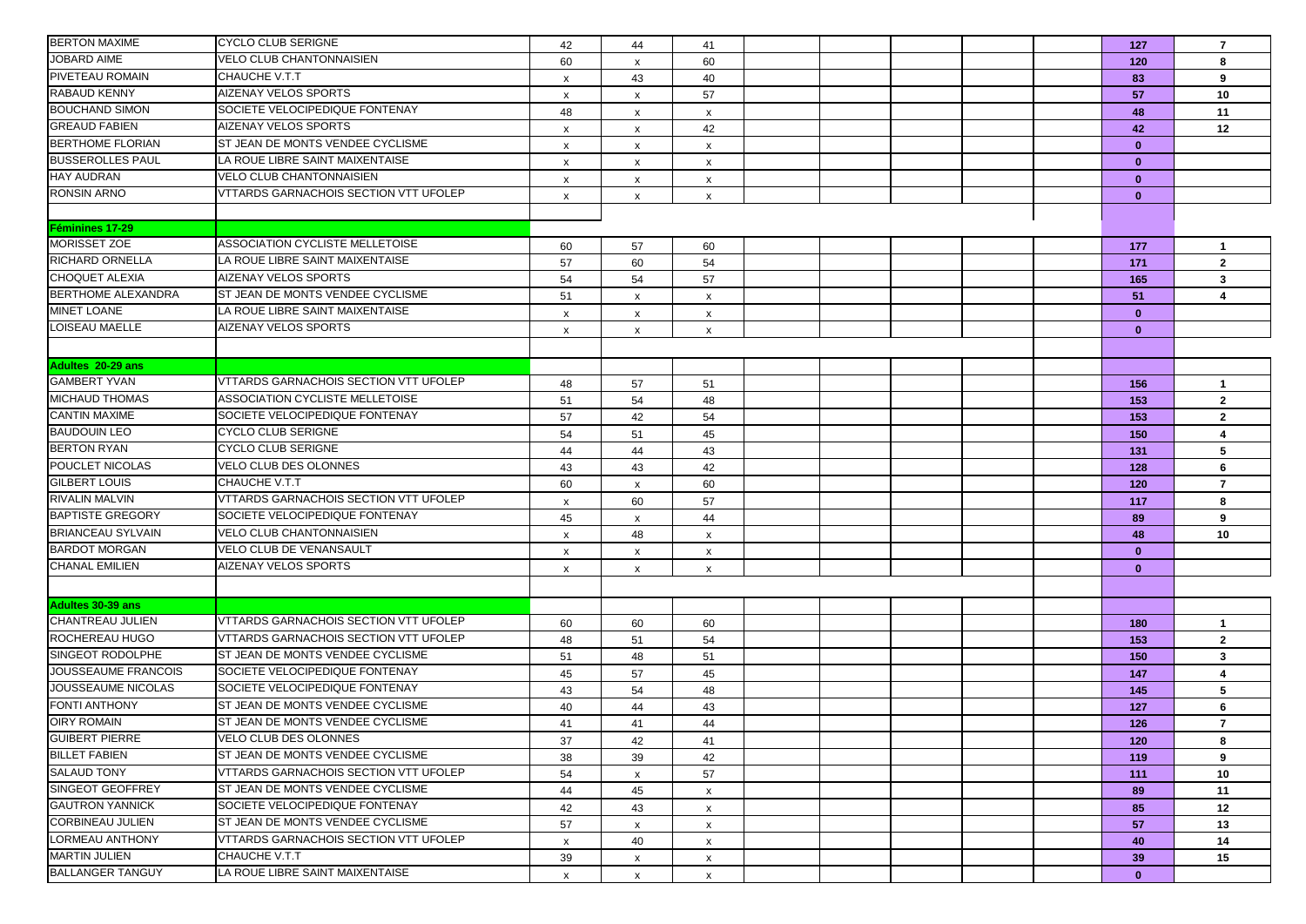| <b>BERTON MAXIME</b>                         | <b>CYCLO CLUB SERIGNE</b>                                          | 42                        | 44                        | 41                        |  |  | 127          | $\overline{7}$ |
|----------------------------------------------|--------------------------------------------------------------------|---------------------------|---------------------------|---------------------------|--|--|--------------|----------------|
| <b>JOBARD AIME</b>                           | <b>VELO CLUB CHANTONNAISIEN</b>                                    | 60                        | $\boldsymbol{\mathsf{x}}$ | 60                        |  |  | 120          | 8              |
| PIVETEAU ROMAIN                              | CHAUCHE V.T.T                                                      | X                         | 43                        | 40                        |  |  | 83           | 9              |
| RABAUD KENNY                                 | <b>AIZENAY VELOS SPORTS</b>                                        | $\boldsymbol{\mathsf{x}}$ | x                         | 57                        |  |  | 57           | 10             |
| <b>BOUCHAND SIMON</b>                        | SOCIETE VELOCIPEDIQUE FONTENAY                                     | 48                        | x                         | $\mathsf{x}$              |  |  | 48           | 11             |
| <b>GREAUD FABIEN</b>                         | <b>AIZENAY VELOS SPORTS</b>                                        | x                         | x                         | 42                        |  |  | 42           | 12             |
| <b>BERTHOME FLORIAN</b>                      | ST JEAN DE MONTS VENDEE CYCLISME                                   | x                         | x                         | $\boldsymbol{\mathsf{x}}$ |  |  | $\mathbf{0}$ |                |
| <b>BUSSEROLLES PAUL</b>                      | LA ROUE LIBRE SAINT MAIXENTAISE                                    | х                         | x                         | x                         |  |  | $\mathbf{0}$ |                |
| <b>HAY AUDRAN</b>                            | <b>VELO CLUB CHANTONNAISIEN</b>                                    | $\boldsymbol{\mathsf{x}}$ | x                         | $\mathsf{x}$              |  |  | $\mathbf{0}$ |                |
| <b>RONSIN ARNO</b>                           | <b>VTTARDS GARNACHOIS SECTION VTT UFOLEP</b>                       | x                         | $\boldsymbol{\mathsf{x}}$ | $\pmb{\chi}$              |  |  | $\mathbf{0}$ |                |
|                                              |                                                                    |                           |                           |                           |  |  |              |                |
| <b>Féminines 17-29</b>                       |                                                                    |                           |                           |                           |  |  |              |                |
| MORISSET ZOE                                 | ASSOCIATION CYCLISTE MELLETOISE                                    | 60                        | 57                        | 60                        |  |  | 177          | $\mathbf{1}$   |
| <b>RICHARD ORNELLA</b>                       | LA ROUE LIBRE SAINT MAIXENTAISE                                    | 57                        | 60                        | 54                        |  |  | 171          | $\mathbf{2}$   |
| <b>CHOQUET ALEXIA</b>                        | <b>AIZENAY VELOS SPORTS</b>                                        | 54                        | 54                        | 57                        |  |  | 165          | $3^{\circ}$    |
| <b>BERTHOME ALEXANDRA</b>                    | ST JEAN DE MONTS VENDEE CYCLISME                                   | 51                        | $\boldsymbol{\mathsf{x}}$ | $\pmb{\mathsf{x}}$        |  |  | 51           | 4              |
| <b>MINET LOANE</b>                           | LA ROUE LIBRE SAINT MAIXENTAISE                                    | x                         | X                         | x                         |  |  | $\mathbf{0}$ |                |
| LOISEAU MAELLE                               | <b>AIZENAY VELOS SPORTS</b>                                        | X                         | X                         | X                         |  |  | $\mathbf{0}$ |                |
|                                              |                                                                    |                           |                           |                           |  |  |              |                |
| Adultes 20-29 ans                            |                                                                    |                           |                           |                           |  |  |              |                |
| <b>GAMBERT YVAN</b>                          | <b>VTTARDS GARNACHOIS SECTION VTT UFOLEP</b>                       | 48                        | 57                        | 51                        |  |  | 156          | $\mathbf{1}$   |
| <b>MICHAUD THOMAS</b>                        | ASSOCIATION CYCLISTE MELLETOISE                                    | 51                        | 54                        | 48                        |  |  | 153          | $\overline{2}$ |
| <b>CANTIN MAXIME</b>                         | SOCIETE VELOCIPEDIQUE FONTENAY                                     | 57                        | 42                        | 54                        |  |  | 153          | $\mathbf{2}$   |
| <b>BAUDOUIN LEO</b>                          | <b>CYCLO CLUB SERIGNE</b>                                          | 54                        | 51                        | 45                        |  |  | 150          | 4              |
| <b>BERTON RYAN</b>                           | <b>CYCLO CLUB SERIGNE</b>                                          | 44                        | 44                        | 43                        |  |  | 131          | 5              |
| POUCLET NICOLAS                              | VELO CLUB DES OLONNES                                              | 43                        | 43                        | 42                        |  |  | 128          | 6              |
| <b>GILBERT LOUIS</b>                         | CHAUCHE V.T.T                                                      | 60                        | $\pmb{\chi}$              | 60                        |  |  | 120          | $\overline{7}$ |
| <b>RIVALIN MALVIN</b>                        | VTTARDS GARNACHOIS SECTION VTT UFOLEP                              | $\mathsf{x}$              | 60                        | 57                        |  |  | 117          | 8              |
| <b>BAPTISTE GREGORY</b>                      | SOCIETE VELOCIPEDIQUE FONTENAY                                     | 45                        | x                         | 44                        |  |  | 89           | 9              |
| <b>BRIANCEAU SYLVAIN</b>                     | <b>VELO CLUB CHANTONNAISIEN</b>                                    | X                         | 48                        | X                         |  |  | 48           | 10             |
| <b>BARDOT MORGAN</b>                         | VELO CLUB DE VENANSAULT                                            | $\boldsymbol{\mathsf{x}}$ | x                         | $\mathsf{x}$              |  |  | $\mathbf{0}$ |                |
| <b>CHANAL EMILIEN</b>                        | AIZENAY VELOS SPORTS                                               | $\boldsymbol{\mathsf{x}}$ | $\boldsymbol{\mathsf{x}}$ | $\pmb{\chi}$              |  |  | $\mathbf{0}$ |                |
|                                              |                                                                    |                           |                           |                           |  |  |              |                |
|                                              |                                                                    |                           |                           |                           |  |  |              |                |
| Adultes 30-39 ans<br><b>CHANTREAU JULIEN</b> | VTTARDS GARNACHOIS SECTION VTT UFOLEP                              |                           |                           |                           |  |  |              |                |
| ROCHEREAU HUGO                               | VTTARDS GARNACHOIS SECTION VTT UFOLEP                              | 60                        | 60                        | 60                        |  |  | 180          | $\mathbf{1}$   |
| <b>SINGEOT RODOLPHE</b>                      | ST JEAN DE MONTS VENDEE CYCLISME                                   | 48                        | 51                        | 54                        |  |  | 153          | $\mathbf{2}$   |
| <b>JOUSSEAUME FRANCOIS</b>                   | SOCIETE VELOCIPEDIQUE FONTENAY                                     | 51                        | 48                        | 51                        |  |  | 150          | $3^{\circ}$    |
| JOUSSEAUME NICOLAS                           | SOCIETE VELOCIPEDIQUE FONTENAY                                     | 45                        | 57                        | 45                        |  |  | 147          | $\overline{4}$ |
| <b>FONTI ANTHONY</b>                         | ST JEAN DE MONTS VENDEE CYCLISME                                   | 43                        | 54                        | 48                        |  |  | 145          | 5              |
| <b>OIRY ROMAIN</b>                           | ST JEAN DE MONTS VENDEE CYCLISME                                   | 40                        | 44                        | 43                        |  |  | 127          | 6              |
| <b>GUIBERT PIERRE</b>                        | <b>VELO CLUB DES OLONNES</b>                                       | 41                        | 41                        | 44                        |  |  | 126          | $\overline{7}$ |
|                                              | ST JEAN DE MONTS VENDEE CYCLISME                                   | 37                        | 42                        | 41                        |  |  | 120          | 8              |
| <b>BILLET FABIEN</b><br><b>SALAUD TONY</b>   | VTTARDS GARNACHOIS SECTION VTT UFOLEP                              | 38                        | 39                        | 42                        |  |  | 119          | 9              |
|                                              |                                                                    | 54                        | x                         | 57                        |  |  | 111          | 10             |
| SINGEOT GEOFFREY<br><b>GAUTRON YANNICK</b>   | ST JEAN DE MONTS VENDEE CYCLISME<br>SOCIETE VELOCIPEDIQUE FONTENAY | 44                        | 45                        | $\mathsf{x}$              |  |  | 89           | 11             |
| <b>CORBINEAU JULIEN</b>                      | ST JEAN DE MONTS VENDEE CYCLISME                                   | 42                        | 43                        | $\mathsf{x}$              |  |  | 85           | 12             |
|                                              | VTTARDS GARNACHOIS SECTION VTT UFOLEP                              | 57                        | $\boldsymbol{\mathsf{x}}$ | $\boldsymbol{\mathsf{x}}$ |  |  | 57           | 13             |
| LORMEAU ANTHONY<br><b>MARTIN JULIEN</b>      |                                                                    | x                         | 40                        | x                         |  |  | 40           | 14             |
| <b>BALLANGER TANGUY</b>                      | CHAUCHE V.T.T<br>LA ROUE LIBRE SAINT MAIXENTAISE                   | 39                        | x                         | $\mathsf{x}$              |  |  | 39           | 15             |
|                                              |                                                                    | $\boldsymbol{\mathsf{x}}$ | $\boldsymbol{\mathsf{x}}$ | $\pmb{\mathsf{x}}$        |  |  | $\mathbf{0}$ |                |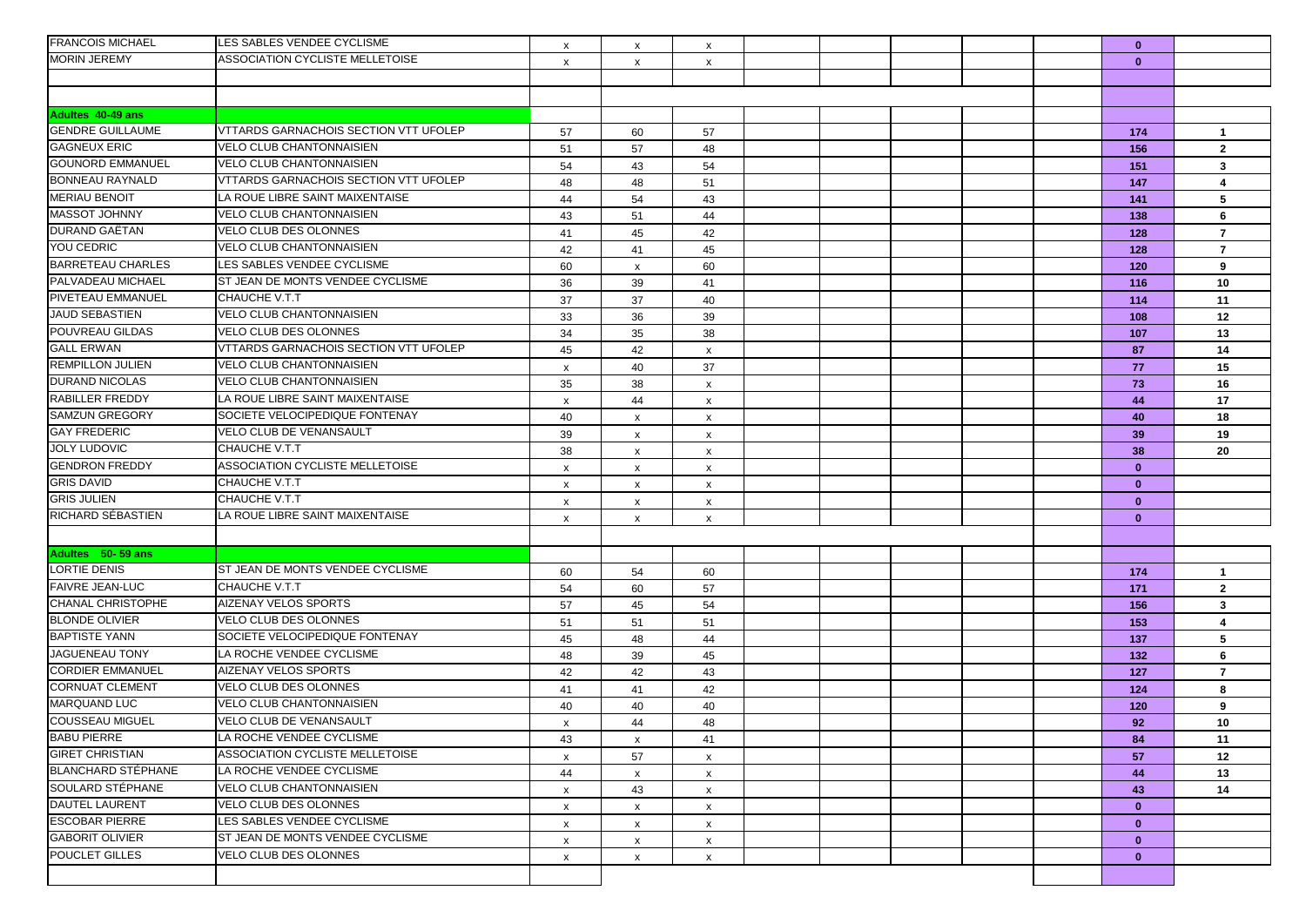| <b>FRANCOIS MICHAEL</b>   | LES SABLES VENDEE CYCLISME                   | X                         | $\boldsymbol{\mathsf{x}}$ | X                         |  |  | $\mathbf{0}$ |                |
|---------------------------|----------------------------------------------|---------------------------|---------------------------|---------------------------|--|--|--------------|----------------|
| <b>MORIN JEREMY</b>       | ASSOCIATION CYCLISTE MELLETOISE              | $\boldsymbol{\mathsf{x}}$ | x                         | $\boldsymbol{\mathsf{x}}$ |  |  | $\mathbf{0}$ |                |
|                           |                                              |                           |                           |                           |  |  |              |                |
|                           |                                              |                           |                           |                           |  |  |              |                |
| Adultes 40-49 ans         |                                              |                           |                           |                           |  |  |              |                |
| <b>GENDRE GUILLAUME</b>   | VTTARDS GARNACHOIS SECTION VTT UFOLEP        | 57                        | 60                        | 57                        |  |  | 174          | $\overline{1}$ |
| <b>GAGNEUX ERIC</b>       | VELO CLUB CHANTONNAISIEN                     | 51                        | 57                        | 48                        |  |  | 156          | $\mathbf{2}$   |
| <b>GOUNORD EMMANUEL</b>   | VELO CLUB CHANTONNAISIEN                     | 54                        | 43                        | 54                        |  |  | 151          | $\mathbf{3}$   |
| <b>BONNEAU RAYNALD</b>    | VTTARDS GARNACHOIS SECTION VTT UFOLEP        | 48                        | 48                        | 51                        |  |  | 147          | 4              |
| <b>MERIAU BENOIT</b>      | LA ROUE LIBRE SAINT MAIXENTAISE              | 44                        | 54                        | 43                        |  |  | 141          | 5              |
| <b>MASSOT JOHNNY</b>      | VELO CLUB CHANTONNAISIEN                     | 43                        | 51                        | 44                        |  |  | 138          | 6              |
| DURAND GAËTAN             | <b>VELO CLUB DES OLONNES</b>                 | 41                        | 45                        | 42                        |  |  | 128          | $\overline{7}$ |
| YOU CEDRIC                | VELO CLUB CHANTONNAISIEN                     | 42                        | 41                        | 45                        |  |  | 128          | $\overline{7}$ |
| <b>BARRETEAU CHARLES</b>  | LES SABLES VENDEE CYCLISME                   | 60                        | x                         | 60                        |  |  | 120          | 9              |
| PALVADEAU MICHAEL         | ST JEAN DE MONTS VENDEE CYCLISME             | 36                        | 39                        | 41                        |  |  | 116          | 10             |
| PIVETEAU EMMANUEL         | <b>CHAUCHE V.T.T</b>                         | 37                        | 37                        | 40                        |  |  | 114          | 11             |
| <b>JAUD SEBASTIEN</b>     | <b>VELO CLUB CHANTONNAISIEN</b>              | 33                        | 36                        | 39                        |  |  | 108          | 12             |
| POUVREAU GILDAS           | VELO CLUB DES OLONNES                        | 34                        | 35                        | 38                        |  |  | 107          | 13             |
| <b>GALL ERWAN</b>         | <b>VTTARDS GARNACHOIS SECTION VTT UFOLEP</b> | 45                        | 42                        | $\pmb{\mathsf{x}}$        |  |  | 87           | 14             |
| <b>REMPILLON JULIEN</b>   | <b>VELO CLUB CHANTONNAISIEN</b>              | $\boldsymbol{\mathsf{x}}$ | 40                        | 37                        |  |  | 77           | 15             |
| <b>DURAND NICOLAS</b>     | <b>VELO CLUB CHANTONNAISIEN</b>              | 35                        | 38                        | $\mathsf{x}$              |  |  | 73           | 16             |
| <b>RABILLER FREDDY</b>    | LA ROUE LIBRE SAINT MAIXENTAISE              | $\boldsymbol{\mathsf{x}}$ | 44                        | $\mathsf{x}$              |  |  | 44           | 17             |
| <b>SAMZUN GREGORY</b>     | SOCIETE VELOCIPEDIQUE FONTENAY               | 40                        | x                         | $\boldsymbol{\mathsf{x}}$ |  |  | 40           | 18             |
| <b>GAY FREDERIC</b>       | VELO CLUB DE VENANSAULT                      | 39                        | x                         | $\boldsymbol{\mathsf{x}}$ |  |  | 39           | 19             |
| <b>JOLY LUDOVIC</b>       | CHAUCHE V.T.T                                | 38                        | $\boldsymbol{\mathsf{x}}$ | $\mathsf{x}$              |  |  | 38           | 20             |
| <b>GENDRON FREDDY</b>     | ASSOCIATION CYCLISTE MELLETOISE              | $\boldsymbol{\mathsf{x}}$ | x                         | $\mathsf{x}$              |  |  | $\mathbf{0}$ |                |
| <b>GRIS DAVID</b>         | CHAUCHE V.T.T                                | $\boldsymbol{\mathsf{x}}$ | x                         | $\mathsf{x}$              |  |  | $\mathbf{0}$ |                |
| <b>GRIS JULIEN</b>        | CHAUCHE V.T.T                                | X                         | x                         | $\mathsf{x}$              |  |  | $\mathbf{0}$ |                |
| RICHARD SÉBASTIEN         | LA ROUE LIBRE SAINT MAIXENTAISE              | $\boldsymbol{\mathsf{x}}$ | X                         | $\boldsymbol{\mathsf{x}}$ |  |  | $\bf{0}$     |                |
|                           |                                              |                           |                           |                           |  |  |              |                |
| Adultes 50-59 ans         |                                              |                           |                           |                           |  |  |              |                |
| <b>LORTIE DENIS</b>       | ST JEAN DE MONTS VENDEE CYCLISME             | 60                        | 54                        | 60                        |  |  | 174          | $\mathbf{1}$   |
| <b>FAIVRE JEAN-LUC</b>    | CHAUCHE V.T.T                                | 54                        | 60                        | 57                        |  |  | 171          | $\mathbf{2}$   |
| <b>CHANAL CHRISTOPHE</b>  | AIZENAY VELOS SPORTS                         | 57                        | 45                        | 54                        |  |  | 156          | $\mathbf{3}$   |
| <b>BLONDE OLIVIER</b>     | VELO CLUB DES OLONNES                        | 51                        | 51                        | 51                        |  |  | 153          | 4              |
| <b>BAPTISTE YANN</b>      | SOCIETE VELOCIPEDIQUE FONTENAY               | 45                        | 48                        | 44                        |  |  | 137          | 5              |
| <b>JAGUENEAU TONY</b>     | LA ROCHE VENDEE CYCLISME                     | 48                        | 39                        | 45                        |  |  | 132          | 6              |
| <b>CORDIER EMMANUEL</b>   | <b>AIZENAY VELOS SPORTS</b>                  | 42                        | 42                        | 43                        |  |  | 127          | $\overline{7}$ |
| <b>CORNUAT CLEMENT</b>    | VELO CLUB DES OLONNES                        | 41                        | 41                        | 42                        |  |  | 124          | 8              |
| MARQUAND LUC              | VELO CLUB CHANTONNAISIEN                     | 40                        | 40                        | 40                        |  |  | 120          | 9              |
| <b>COUSSEAU MIGUEL</b>    | <b>VELO CLUB DE VENANSAULT</b>               | $\boldsymbol{\mathsf{x}}$ | 44                        | 48                        |  |  | 92           | 10             |
| <b>BABU PIERRE</b>        | LA ROCHE VENDEE CYCLISME                     | 43                        | x                         | 41                        |  |  | 84           | 11             |
| <b>GIRET CHRISTIAN</b>    | ASSOCIATION CYCLISTE MELLETOISE              | $\boldsymbol{\mathsf{x}}$ | 57                        | $\mathsf{x}$              |  |  | 57           | 12             |
| <b>BLANCHARD STÉPHANE</b> | LA ROCHE VENDEE CYCLISME                     | 44                        | X                         | $\mathsf{x}$              |  |  | 44           | 13             |
| SOULARD STÉPHANE          | VELO CLUB CHANTONNAISIEN                     | $\boldsymbol{\mathsf{x}}$ | 43                        | X                         |  |  | 43           | 14             |
| <b>DAUTEL LAURENT</b>     | <b>VELO CLUB DES OLONNES</b>                 | $\boldsymbol{\mathsf{x}}$ | $\boldsymbol{\mathsf{x}}$ | $\mathsf{x}$              |  |  | $\mathbf{0}$ |                |
| <b>ESCOBAR PIERRE</b>     | LES SABLES VENDEE CYCLISME                   | $\boldsymbol{\mathsf{x}}$ | x                         | $\mathsf{x}$              |  |  | $\mathbf{0}$ |                |
| <b>GABORIT OLIVIER</b>    | ST JEAN DE MONTS VENDEE CYCLISME             | $\mathsf{x}$              | X                         | $\mathsf{x}$              |  |  | $\mathbf{0}$ |                |
| POUCLET GILLES            | <b>VELO CLUB DES OLONNES</b>                 | X                         | X                         | $\boldsymbol{\mathsf{x}}$ |  |  | $\mathbf{0}$ |                |
|                           |                                              |                           |                           |                           |  |  |              |                |
|                           |                                              |                           |                           |                           |  |  |              |                |